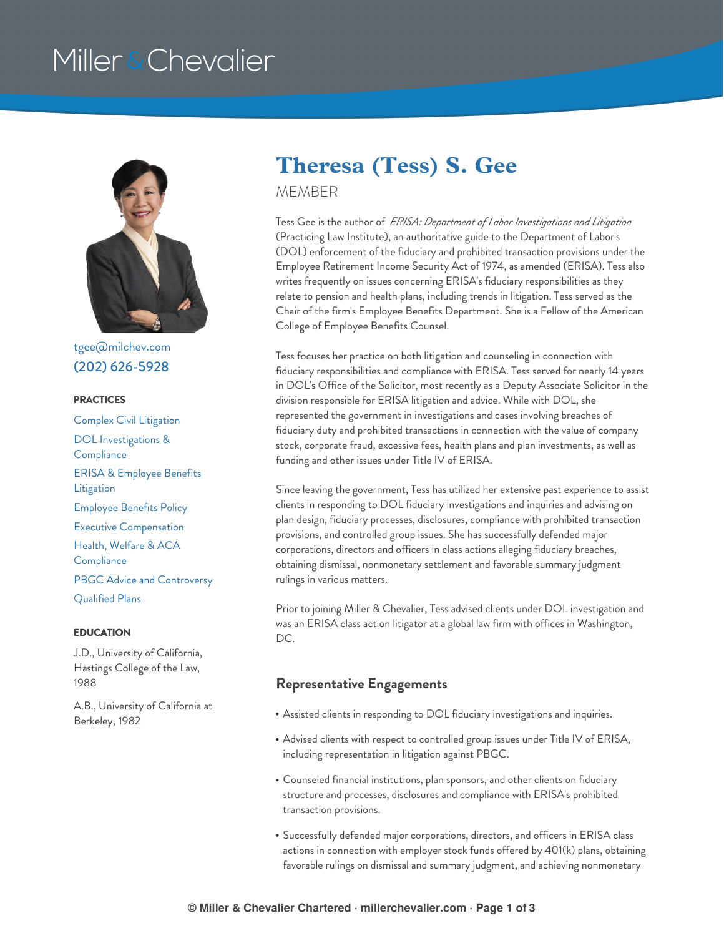# Miller & Chevalier



[tgee@milchev.com](mailto:tgee@milchev.com) (202) [626-5928](tel:202-626-5928)

#### **PRACTICES**

Complex Civil [Litigation](https://www.millerchevalier.com/practice-area/complex-civil-litigation) DOL [Investigations](https://www.millerchevalier.com/practice-area/dol-investigations-compliance) & **Compliance** ERISA & [Employee](https://www.millerchevalier.com/practice-area/erisa-employee-benefits-litigation) Benefits Litigation [Employee](https://www.millerchevalier.com/practice-area/employee-benefits-policy) Benefits Policy Executive [Compensation](https://www.millerchevalier.com/practice-area/executive-compensation) Health, Welfare & ACA **[Compliance](https://www.millerchevalier.com/practice-area/health-welfare-aca-compliance)** PBGC Advice and [Controversy](https://www.millerchevalier.com/practice-area/pbgc-advice-and-controversy) [Qualified](https://www.millerchevalier.com/practice-area/qualified-plans) Plans

#### **EDUCATION**

J.D., University of California, Hastings College of the Law, 1988

A.B., University of California at Berkeley, 1982

### **Theresa (Tess) S. Gee**

MEMBER

Tess Gee is the author of *ERISA: Department of Labor Investigations and Litigation* (Practicing Law Institute), an authoritative guide to the Department of Labor's (DOL) enforcement of the fiduciary and prohibited transaction provisions under the Employee Retirement Income Security Act of 1974, as amended (ERISA). Tess also writes frequently on issues concerning ERISA's fiduciary responsibilities as they relate to pension and health plans, including trends in litigation. Tess served as the Chair of the firm's Employee Benefits Department. She is a Fellow of the American College of Employee Benefits Counsel.

Tess focuses her practice on both litigation and counseling in connection with fiduciary responsibilities and compliance with ERISA. Tess served for nearly 14 years in DOL's Office of the Solicitor, most recently as a Deputy Associate Solicitor in the division responsible for ERISA litigation and advice. While with DOL, she represented the government in investigations and cases involving breaches of fiduciary duty and prohibited transactions in connection with the value of company stock, corporate fraud, excessive fees, health plans and plan investments, as well as funding and other issues under Title IV of ERISA.

Since leaving the government, Tess has utilized her extensive past experience to assist clients in responding to DOL fiduciary investigations and inquiries and advising on plan design, fiduciary processes, disclosures, compliance with prohibited transaction provisions, and controlled group issues. She has successfully defended major corporations, directors and officers in class actions alleging fiduciary breaches, obtaining dismissal, nonmonetary settlement and favorable summary judgment rulings in various matters.

Prior to joining Miller & Chevalier, Tess advised clients under DOL investigation and was an ERISA class action litigator at a global law firm with offices in Washington, DC.

### **Representative Engagements**

- Assisted clients in responding to DOL fiduciary investigations and inquiries.
- Advised clients with respect to controlled group issues under Title IV of ERISA, including representation in litigation against PBGC.
- Counseled financial institutions, plan sponsors, and other clients on fiduciary structure and processes, disclosures and compliance with ERISA's prohibited transaction provisions.
- Successfully defended major corporations, directors, and officers in ERISA class actions in connection with employer stock funds offered by 401(k) plans, obtaining favorable rulings on dismissal and summary judgment, and achieving nonmonetary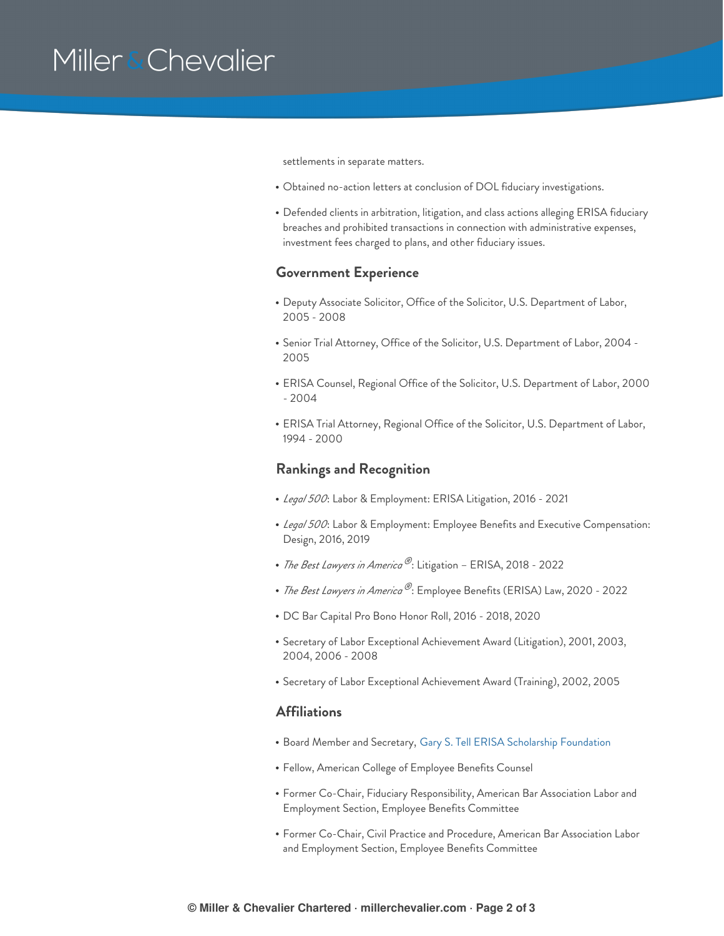## Miller & Chevalier

settlements in separate matters.

- Obtained no-action letters at conclusion of DOL fiduciary investigations.
- Defended clients in arbitration, litigation, and class actions alleging ERISA fiduciary breaches and prohibited transactions in connection with administrative expenses, investment fees charged to plans, and other fiduciary issues.

#### **Government Experience**

- Deputy Associate Solicitor, Office of the Solicitor, U.S. Department of Labor, 2005 - 2008
- Senior Trial Attorney, Office of the Solicitor, U.S. Department of Labor, 2004 2005
- ERISA Counsel, Regional Office of the Solicitor, U.S. Department of Labor, 2000 - 2004
- ERISA Trial Attorney, Regional Office of the Solicitor, U.S. Department of Labor, 1994 - 2000

#### **Rankings and Recognition**

- *Legal 500*: Labor & Employment: ERISA Litigation, 2016 2021
- *Legal 500*: Labor & Employment: Employee Benefits and Executive Compensation: Design, 2016, 2019
- *The Best Lawyers in America* ®: Litigation ERISA, 2018 2022
- *The Best Lawyers in America*  $^\circledR$ : Employee Benefits (ERISA) Law, 2020 2022
- DC Bar Capital Pro Bono Honor Roll, 2016 2018, 2020
- Secretary of Labor Exceptional Achievement Award (Litigation), 2001, 2003, 2004, 2006 - 2008
- Secretary of Labor Exceptional Achievement Award (Training), 2002, 2005

#### **Affiliations**

- Board Member and Secretary, Gary S. Tell ERISA [Scholarship](http://www.gstscholars.org/) Foundation
- Fellow, American College of Employee Benefits Counsel
- Former Co-Chair, Fiduciary Responsibility, American Bar Association Labor and Employment Section, Employee Benefits Committee
- Former Co-Chair, Civil Practice and Procedure, American Bar Association Labor and Employment Section, Employee Benefits Committee